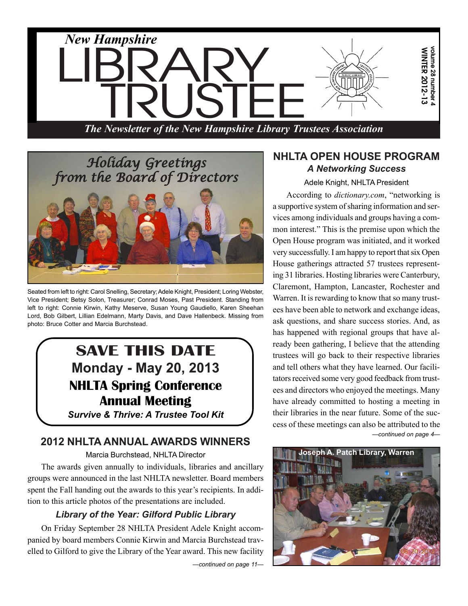

*The Newsletter of the New Hampshire Library Trustees Association*



Seated from left to right: Carol Snelling, Secretary; Adele Knight, President; Loring Webster, Vice President; Betsy Solon, Treasurer; Conrad Moses, Past President. Standing from left to right: Connie Kirwin, Kathy Meserve, Susan Young Gaudiello, Karen Sheehan Lord, Bob Gilbert, Lillian Edelmann, Marty Davis, and Dave Hallenbeck. Missing from photo: Bruce Cotter and Marcia Burchstead.

# **SAVE THIS DATE Monday - May 20, 2013 NHLTA Spring Conference Annual Meeting**

*Survive & Thrive: A Trustee Tool Kit*

# **2012 NHLTA ANNUAL AWARDS WINNERS**

Marcia Burchstead, NHLTA Director

The awards given annually to individuals, libraries and ancillary groups were announced in the last NHLTA newsletter. Board members spent the Fall handing out the awards to this year's recipients. In addition to this article photos of the presentations are included.

# *Library of the Year: Gilford Public Library*

On Friday September 28 NHLTA President Adele Knight accompanied by board members Connie Kirwin and Marcia Burchstead travelled to Gilford to give the Library of the Year award. This new facility

*—continued on page 11—*

### **NHLTA OPEN HOUSE PROGRAM** *A Networking Success*

Adele Knight, NHLTA President

The Newsletter of the Newsletter of the Newsletter of the Newsletter of the Newsletter of the Newsletter of the Newsletter of the Newsletter of the Newsletter of the Newsletter of the Newsletter of the Newsletter of the Ne *—continued on page 4—* According to *dictionary.com*, "networking is a supportive system of sharing information and services among individuals and groups having a common interest." This is the premise upon which the Open House program was initiated, and it worked very successfully. I am happy to report that six Open House gatherings attracted 57 trustees representing 31 libraries. Hosting libraries were Canterbury, Claremont, Hampton, Lancaster, Rochester and Warren. It is rewarding to know that so many trustees have been able to network and exchange ideas, ask questions, and share success stories. And, as has happened with regional groups that have already been gathering, I believe that the attending trustees will go back to their respective libraries and tell others what they have learned. Our facilitators received some very good feedback from trustees and directors who enjoyed the meetings. Many have already committed to hosting a meeting in their libraries in the near future. Some of the success of these meetings can also be attributed to the

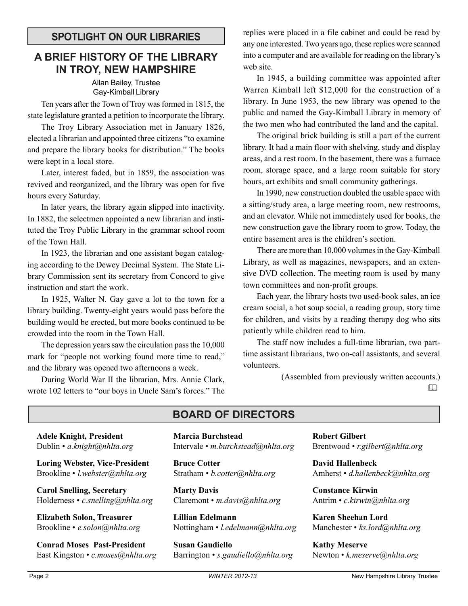# **SPOTLIGHT ON OUR LIBRARIES**

# **A BRIEF HISTORY OF THE LIBRARY IN TROY, NEW HAMPSHIRE**

#### Allan Bailey, Trustee Gay-Kimball Library

Ten years after the Town of Troy was formed in 1815, the state legislature granted a petition to incorporate the library.

The Troy Library Association met in January 1826, elected a librarian and appointed three citizens "to examine and prepare the library books for distribution." The books were kept in a local store.

Later, interest faded, but in 1859, the association was revived and reorganized, and the library was open for five hours every Saturday.

In later years, the library again slipped into inactivity. In 1882, the selectmen appointed a new librarian and instituted the Troy Public Library in the grammar school room of the Town Hall.

In 1923, the librarian and one assistant began cataloging according to the Dewey Decimal System. The State Library Commission sent its secretary from Concord to give instruction and start the work.

In 1925, Walter N. Gay gave a lot to the town for a library building. Twenty-eight years would pass before the building would be erected, but more books continued to be crowded into the room in the Town Hall.

The depression years saw the circulation pass the 10,000 mark for "people not working found more time to read," and the library was opened two afternoons a week.

During World War II the librarian, Mrs. Annie Clark, wrote 102 letters to "our boys in Uncle Sam's forces." The replies were placed in a file cabinet and could be read by any one interested. Two years ago, these replies were scanned into a computer and are available for reading on the library's web site.

In 1945, a building committee was appointed after Warren Kimball left \$12,000 for the construction of a library. In June 1953, the new library was opened to the public and named the Gay-Kimball Library in memory of the two men who had contributed the land and the capital.

The original brick building is still a part of the current library. It had a main floor with shelving, study and display areas, and a rest room. In the basement, there was a furnace room, storage space, and a large room suitable for story hours, art exhibits and small community gatherings.

In 1990, new construction doubled the usable space with a sitting/study area, a large meeting room, new restrooms, and an elevator. While not immediately used for books, the new construction gave the library room to grow. Today, the entire basement area is the children's section.

There are more than 10,000 volumes in the Gay-Kimball Library, as well as magazines, newspapers, and an extensive DVD collection. The meeting room is used by many town committees and non-profit groups.

Each year, the library hosts two used-book sales, an ice cream social, a hot soup social, a reading group, story time for children, and visits by a reading therapy dog who sits patiently while children read to him.

The staff now includes a full-time librarian, two parttime assistant librarians, two on-call assistants, and several volunteers.

> (Assembled from previously written accounts.)  $\Box$

**Adele Knight, President** Dublin • *a.knight@nhlta.org*

**Loring Webster, Vice-President** Brookline • *l.webster@nhlta.org*

**Carol Snelling, Secretary** Holderness • *c.snelling@nhlta.org*

**Elizabeth Solon, Treasurer** Brookline • *e.solon@nhlta.org*

**Conrad Moses Past-President** East Kingston • *c.moses@nhlta.org*

# **BOARD OF DIRECTORS**

**Marcia Burchstead** Intervale • *m.burchstead@nhlta.org*

**Bruce Cotter** Stratham • *b.cotter@nhlta.org*

**Marty Davis** Claremont • *m.davis@nhlta.org*

**Lillian Edelmann** Nottingham • *l.edelmann@nhlta.org*

**Susan Gaudiello** Barrington • *s.gaudiello@nhlta.org* **Robert Gilbert** Brentwood • *r.gilbert@nhlta.org*

**David Hallenbeck** Amherst • *d.hallenbeck@nhlta.org*

**Constance Kirwin** Antrim • *c.kirwin@nhlta.org*

**Karen Sheehan Lord** Manchester • *ks.lord@nhlta.org*

**Kathy Meserve** Newton • *k.meserve@nhlta.org*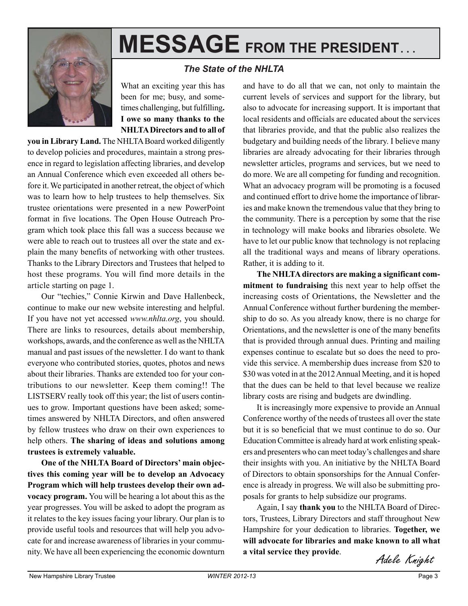

# **MESSAGE FROM THE PRESIDENT. . .**

#### *The State of the NHLTA*

What an exciting year this has been for me; busy, and sometimes challenging, but fulfilling**. I owe so many thanks to the NHLTA Directors and to all of**

**you in Library Land.** The NHLTA Board worked diligently to develop policies and procedures, maintain a strong presence in regard to legislation affecting libraries, and develop an Annual Conference which even exceeded all others before it. We participated in another retreat, the object of which was to learn how to help trustees to help themselves. Six trustee orientations were presented in a new PowerPoint format in five locations. The Open House Outreach Program which took place this fall was a success because we were able to reach out to trustees all over the state and explain the many benefits of networking with other trustees. Thanks to the Library Directors and Trustees that helped to host these programs. You will find more details in the article starting on page 1.

Our "techies," Connie Kirwin and Dave Hallenbeck, continue to make our new website interesting and helpful. If you have not yet accessed *www.nhlta.org*, you should. There are links to resources, details about membership, workshops, awards, and the conference as well as the NHLTA manual and past issues of the newsletter. I do want to thank everyone who contributed stories, quotes, photos and news about their libraries. Thanks are extended too for your contributions to our newsletter. Keep them coming!! The LISTSERV really took off this year; the list of users continues to grow. Important questions have been asked; sometimes answered by NHLTA Directors, and often answered by fellow trustees who draw on their own experiences to help others. **The sharing of ideas and solutions among trustees is extremely valuable.**

**One of the NHLTA Board of Directors' main objectives this coming year will be to develop an Advocacy Program which will help trustees develop their own advocacy program.** You will be hearing a lot about this as the year progresses. You will be asked to adopt the program as it relates to the key issues facing your library. Our plan is to provide useful tools and resources that will help you advocate for and increase awareness of libraries in your community. We have all been experiencing the economic downturn

and have to do all that we can, not only to maintain the current levels of services and support for the library, but also to advocate for increasing support. It is important that local residents and officials are educated about the services that libraries provide, and that the public also realizes the budgetary and building needs of the library. I believe many libraries are already advocating for their libraries through newsletter articles, programs and services, but we need to do more. We are all competing for funding and recognition. What an advocacy program will be promoting is a focused and continued effort to drive home the importance of libraries and make known the tremendous value that they bring to the community. There is a perception by some that the rise in technology will make books and libraries obsolete. We have to let our public know that technology is not replacing all the traditional ways and means of library operations. Rather, it is adding to it.

**The NHLTA directors are making a significant commitment to fundraising** this next year to help offset the increasing costs of Orientations, the Newsletter and the Annual Conference without further burdening the membership to do so. As you already know, there is no charge for Orientations, and the newsletter is one of the many benefits that is provided through annual dues. Printing and mailing expenses continue to escalate but so does the need to provide this service. A membership dues increase from \$20 to \$30 was voted in at the 2012 Annual Meeting, and it is hoped that the dues can be held to that level because we realize library costs are rising and budgets are dwindling.

It is increasingly more expensive to provide an Annual Conference worthy of the needs of trustees all over the state but it is so beneficial that we must continue to do so. Our Education Committee is already hard at work enlisting speakers and presenters who can meet today's challenges and share their insights with you. An initiative by the NHLTA Board of Directors to obtain sponsorships for the Annual Conference is already in progress. We will also be submitting proposals for grants to help subsidize our programs.

Again, I say **thank you** to the NHLTA Board of Directors, Trustees, Library Directors and staff throughout New Hampshire for your dedication to libraries. **Together, we will advocate for libraries and make known to all what a vital service they provide**.

Adele Knight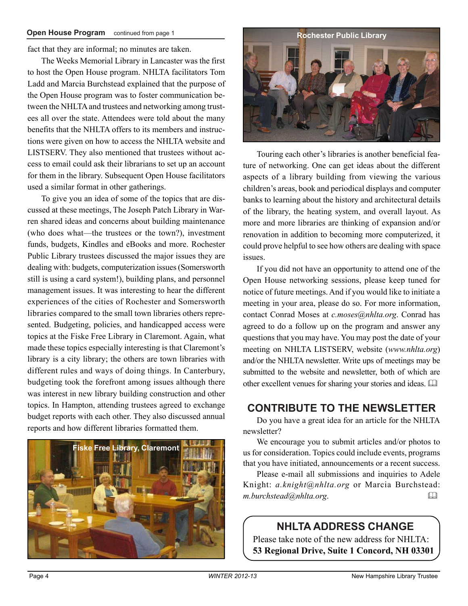fact that they are informal; no minutes are taken.

The Weeks Memorial Library in Lancaster was the first to host the Open House program. NHLTA facilitators Tom Ladd and Marcia Burchstead explained that the purpose of the Open House program was to foster communication between the NHLTA and trustees and networking among trustees all over the state. Attendees were told about the many benefits that the NHLTA offers to its members and instructions were given on how to access the NHLTA website and LISTSERV. They also mentioned that trustees without access to email could ask their librarians to set up an account for them in the library. Subsequent Open House facilitators used a similar format in other gatherings.

To give you an idea of some of the topics that are discussed at these meetings, The Joseph Patch Library in Warren shared ideas and concerns about building maintenance (who does what—the trustees or the town?), investment funds, budgets, Kindles and eBooks and more. Rochester Public Library trustees discussed the major issues they are dealing with: budgets, computerization issues (Somersworth still is using a card system!), building plans, and personnel management issues. It was interesting to hear the different experiences of the cities of Rochester and Somersworth libraries compared to the small town libraries others represented. Budgeting, policies, and handicapped access were topics at the Fiske Free Library in Claremont. Again, what made these topics especially interesting is that Claremont's library is a city library; the others are town libraries with different rules and ways of doing things. In Canterbury, budgeting took the forefront among issues although there was interest in new library building construction and other topics. In Hampton, attending trustees agreed to exchange budget reports with each other. They also discussed annual reports and how different libraries formatted them.





Touring each other's libraries is another beneficial feature of networking. One can get ideas about the different aspects of a library building from viewing the various children's areas, book and periodical displays and computer banks to learning about the history and architectural details of the library, the heating system, and overall layout. As more and more libraries are thinking of expansion and/or renovation in addition to becoming more computerized, it could prove helpful to see how others are dealing with space issues.

If you did not have an opportunity to attend one of the Open House networking sessions, please keep tuned for notice of future meetings. And if you would like to initiate a meeting in your area, please do so. For more information, contact Conrad Moses at *c.moses@nhlta.org*. Conrad has agreed to do a follow up on the program and answer any questions that you may have. You may post the date of your meeting on NHLTA LISTSERV, website (*www.nhlta.org*) and/or the NHLTA newsletter. Write ups of meetings may be submitted to the website and newsletter, both of which are other excellent venues for sharing your stories and ideas. 

# **CONTRIBUTE TO THE NEWSLETTER**

Do you have a great idea for an article for the NHLTA newsletter?

We encourage you to submit articles and/or photos to us for consideration. Topics could include events, programs that you have initiated, announcements or a recent success.

Please e-mail all submissions and inquiries to Adele Knight: *a.knight@nhlta.org* or Marcia Burchstead: *m.burchstead@nhlta.org*. 

# **NHLTA ADDRESS CHANGE**

Please take note of the new address for NHLTA: **53 Regional Drive, Suite 1 Concord, NH 03301**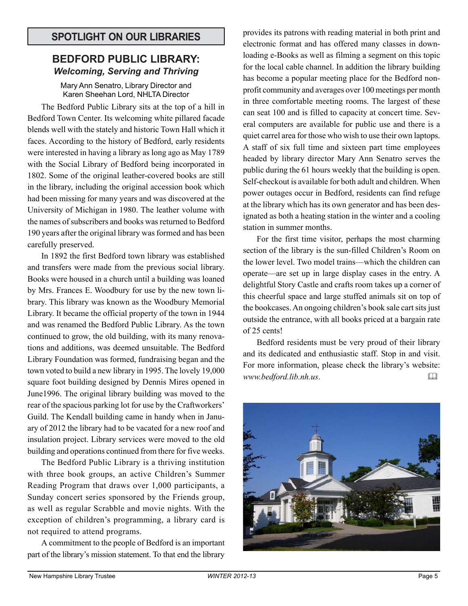# **SPOTLIGHT ON OUR LIBRARIES**

### **BEDFORD PUBLIC LIBRARY:** *Welcoming, Serving and Thriving*

Mary Ann Senatro, Library Director and Karen Sheehan Lord, NHLTA Director

The Bedford Public Library sits at the top of a hill in Bedford Town Center. Its welcoming white pillared facade blends well with the stately and historic Town Hall which it faces. According to the history of Bedford, early residents were interested in having a library as long ago as May 1789 with the Social Library of Bedford being incorporated in 1802. Some of the original leather-covered books are still in the library, including the original accession book which had been missing for many years and was discovered at the University of Michigan in 1980. The leather volume with the names of subscribers and books was returned to Bedford 190 years after the original library was formed and has been carefully preserved.

In 1892 the first Bedford town library was established and transfers were made from the previous social library. Books were housed in a church until a building was loaned by Mrs. Frances E. Woodbury for use by the new town library. This library was known as the Woodbury Memorial Library. It became the official property of the town in 1944 and was renamed the Bedford Public Library. As the town continued to grow, the old building, with its many renovations and additions, was deemed unsuitable. The Bedford Library Foundation was formed, fundraising began and the town voted to build a new library in 1995. The lovely 19,000 square foot building designed by Dennis Mires opened in June1996. The original library building was moved to the rear of the spacious parking lot for use by the Craftworkers' Guild. The Kendall building came in handy when in January of 2012 the library had to be vacated for a new roof and insulation project. Library services were moved to the old building and operations continued from there for five weeks.

The Bedford Public Library is a thriving institution with three book groups, an active Children's Summer Reading Program that draws over 1,000 participants, a Sunday concert series sponsored by the Friends group, as well as regular Scrabble and movie nights. With the exception of children's programming, a library card is not required to attend programs.

A commitment to the people of Bedford is an important part of the library's mission statement. To that end the library

provides its patrons with reading material in both print and electronic format and has offered many classes in downloading e-Books as well as filming a segment on this topic for the local cable channel. In addition the library building has become a popular meeting place for the Bedford nonprofit community and averages over 100 meetings per month in three comfortable meeting rooms. The largest of these can seat 100 and is filled to capacity at concert time. Several computers are available for public use and there is a quiet carrel area for those who wish to use their own laptops. A staff of six full time and sixteen part time employees headed by library director Mary Ann Senatro serves the public during the 61 hours weekly that the building is open. Self-checkout is available for both adult and children. When power outages occur in Bedford, residents can find refuge at the library which has its own generator and has been designated as both a heating station in the winter and a cooling station in summer months.

For the first time visitor, perhaps the most charming section of the library is the sun-filled Children's Room on the lower level. Two model trains—which the children can operate—are set up in large display cases in the entry. A delightful Story Castle and crafts room takes up a corner of this cheerful space and large stuffed animals sit on top of the bookcases. An ongoing children's book sale cart sits just outside the entrance, with all books priced at a bargain rate of 25 cents!

Bedford residents must be very proud of their library and its dedicated and enthusiastic staff. Stop in and visit. For more information, please check the library's website: *www.bedford.lib.nh.us*. 

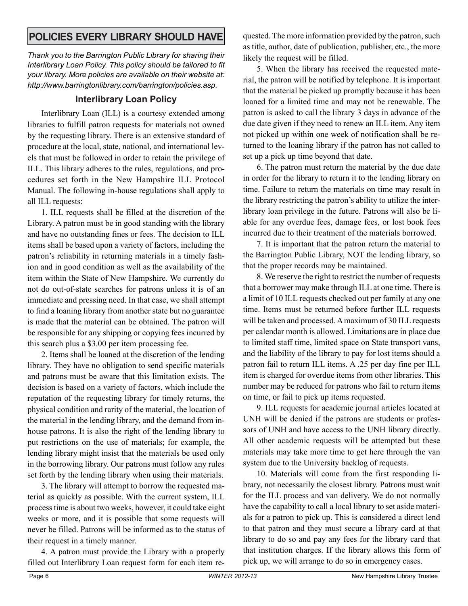# **POLICIES EVERY LIBRARY SHOULD HAVE**

*Thank you to the Barrington Public Library for sharing their Interlibrary Loan Policy. This policy should be tailored to fit your library. More policies are available on their website at: http://www.barringtonlibrary.com/barrington/policies.asp.*

# **Interlibrary Loan Policy**

Interlibrary Loan (ILL) is a courtesy extended among libraries to fulfill patron requests for materials not owned by the requesting library. There is an extensive standard of procedure at the local, state, national, and international levels that must be followed in order to retain the privilege of ILL. This library adheres to the rules, regulations, and procedures set forth in the New Hampshire ILL Protocol Manual. The following in-house regulations shall apply to all ILL requests:

1. ILL requests shall be filled at the discretion of the Library. A patron must be in good standing with the library and have no outstanding fines or fees. The decision to ILL items shall be based upon a variety of factors, including the patron's reliability in returning materials in a timely fashion and in good condition as well as the availability of the item within the State of New Hampshire. We currently do not do out-of-state searches for patrons unless it is of an immediate and pressing need. In that case, we shall attempt to find a loaning library from another state but no guarantee is made that the material can be obtained. The patron will be responsible for any shipping or copying fees incurred by this search plus a \$3.00 per item processing fee.

2. Items shall be loaned at the discretion of the lending library. They have no obligation to send specific materials and patrons must be aware that this limitation exists. The decision is based on a variety of factors, which include the reputation of the requesting library for timely returns, the physical condition and rarity of the material, the location of the material in the lending library, and the demand from inhouse patrons. It is also the right of the lending library to put restrictions on the use of materials; for example, the lending library might insist that the materials be used only in the borrowing library. Our patrons must follow any rules set forth by the lending library when using their materials.

3. The library will attempt to borrow the requested material as quickly as possible. With the current system, ILL process time is about two weeks, however, it could take eight weeks or more, and it is possible that some requests will never be filled. Patrons will be informed as to the status of their request in a timely manner.

4. A patron must provide the Library with a properly filled out Interlibrary Loan request form for each item re-

quested. The more information provided by the patron, such as title, author, date of publication, publisher, etc., the more likely the request will be filled.

5. When the library has received the requested material, the patron will be notified by telephone. It is important that the material be picked up promptly because it has been loaned for a limited time and may not be renewable. The patron is asked to call the library 3 days in advance of the due date given if they need to renew an ILL item. Any item not picked up within one week of notification shall be returned to the loaning library if the patron has not called to set up a pick up time beyond that date.

6. The patron must return the material by the due date in order for the library to return it to the lending library on time. Failure to return the materials on time may result in the library restricting the patron's ability to utilize the interlibrary loan privilege in the future. Patrons will also be liable for any overdue fees, damage fees, or lost book fees incurred due to their treatment of the materials borrowed.

7. It is important that the patron return the material to the Barrington Public Library, NOT the lending library, so that the proper records may be maintained.

8. We reserve the right to restrict the number of requests that a borrower may make through ILL at one time. There is a limit of 10 ILL requests checked out per family at any one time. Items must be returned before further ILL requests will be taken and processed. A maximum of 30 ILL requests per calendar month is allowed. Limitations are in place due to limited staff time, limited space on State transport vans, and the liability of the library to pay for lost items should a patron fail to return ILL items. A .25 per day fine per ILL item is charged for overdue items from other libraries. This number may be reduced for patrons who fail to return items on time, or fail to pick up items requested.

9. ILL requests for academic journal articles located at UNH will be denied if the patrons are students or professors of UNH and have access to the UNH library directly. All other academic requests will be attempted but these materials may take more time to get here through the van system due to the University backlog of requests.

10. Materials will come from the first responding library, not necessarily the closest library. Patrons must wait for the ILL process and van delivery. We do not normally have the capability to call a local library to set aside materials for a patron to pick up. This is considered a direct lend to that patron and they must secure a library card at that library to do so and pay any fees for the library card that that institution charges. If the library allows this form of pick up, we will arrange to do so in emergency cases.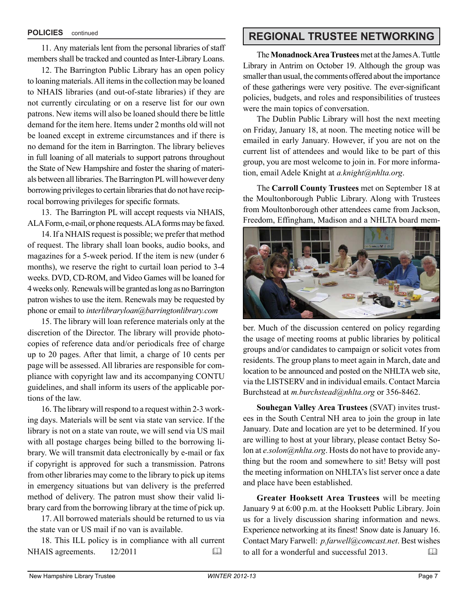11. Any materials lent from the personal libraries of staff members shall be tracked and counted as Inter-Library Loans.

12. The Barrington Public Library has an open policy to loaning materials. All items in the collection may be loaned to NHAIS libraries (and out-of-state libraries) if they are not currently circulating or on a reserve list for our own patrons. New items will also be loaned should there be little demand for the item here. Items under 2 months old will not be loaned except in extreme circumstances and if there is no demand for the item in Barrington. The library believes in full loaning of all materials to support patrons throughout the State of New Hampshire and foster the sharing of materials between all libraries. The Barrington PL will however deny borrowing privileges to certain libraries that do not have reciprocal borrowing privileges for specific formats.

13. The Barrington PL will accept requests via NHAIS, ALA Form, e-mail, or phone requests. ALA forms may be faxed.

14. If a NHAIS request is possible; we prefer that method of request. The library shall loan books, audio books, and magazines for a 5-week period. If the item is new (under 6 months), we reserve the right to curtail loan period to 3-4 weeks. DVD, CD-ROM, and Video Games will be loaned for 4 weeks only. Renewals will be granted as long as no Barrington patron wishes to use the item. Renewals may be requested by phone or email to *interlibraryloan@barringtonlibrary.com*

15. The library will loan reference materials only at the discretion of the Director. The library will provide photocopies of reference data and/or periodicals free of charge up to 20 pages. After that limit, a charge of 10 cents per page will be assessed. All libraries are responsible for compliance with copyright law and its accompanying CONTU guidelines, and shall inform its users of the applicable portions of the law.

16. The library will respond to a request within 2-3 working days. Materials will be sent via state van service. If the library is not on a state van route, we will send via US mail with all postage charges being billed to the borrowing library. We will transmit data electronically by e-mail or fax if copyright is approved for such a transmission. Patrons from other libraries may come to the library to pick up items in emergency situations but van delivery is the preferred method of delivery. The patron must show their valid library card from the borrowing library at the time of pick up.

17. All borrowed materials should be returned to us via the state van or US mail if no van is available.

18. This ILL policy is in compliance with all current NHAIS agreements. 12/2011

# **POLICIES** continued **REGIONAL TRUSTEE NETWORKING**

The **Monadnock Area Trustees** met at the James A. Tuttle Library in Antrim on October 19. Although the group was smaller than usual, the comments offered about the importance of these gatherings were very positive. The ever-significant policies, budgets, and roles and responsibilities of trustees were the main topics of conversation.

The Dublin Public Library will host the next meeting on Friday, January 18, at noon. The meeting notice will be emailed in early January. However, if you are not on the current list of attendees and would like to be part of this group, you are most welcome to join in. For more information, email Adele Knight at *a.knight@nhlta.org*.

The **Carroll County Trustees** met on September 18 at the Moultonborough Public Library. Along with Trustees from Moultonborough other attendees came from Jackson, Freedom, Effingham, Madison and a NHLTA board mem-



ber. Much of the discussion centered on policy regarding the usage of meeting rooms at public libraries by political groups and/or candidates to campaign or solicit votes from residents. The group plans to meet again in March, date and location to be announced and posted on the NHLTA web site, via the LISTSERV and in individual emails. Contact Marcia Burchstead at *m.burchstead@nhlta.org* or 356-8462.

**Souhegan Valley Area Trustees** (SVAT) invites trustees in the South Central NH area to join the group in late January. Date and location are yet to be determined. If you are willing to host at your library, please contact Betsy Solon at *e.solon@nhlta.org*. Hosts do not have to provide anything but the room and somewhere to sit! Betsy will post the meeting information on NHLTA's list server once a date and place have been established.

**Greater Hooksett Area Trustees** will be meeting January 9 at 6:00 p.m. at the Hooksett Public Library. Join us for a lively discussion sharing information and news. Experience networking at its finest! Snow date is January 16. Contact Mary Farwell: *p.farwell@comcast.net*. Best wishes to all for a wonderful and successful 2013.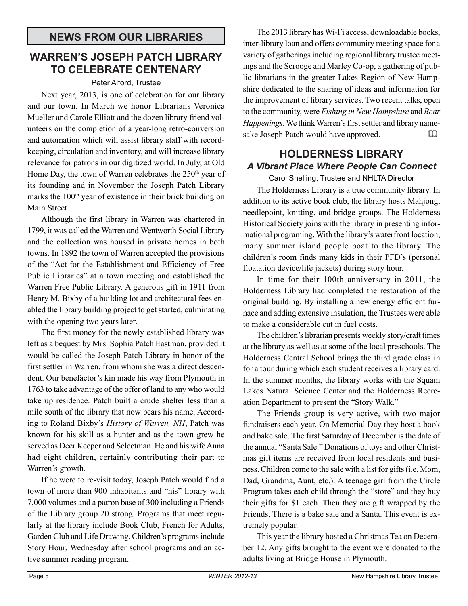# **WARREN'S JOSEPH PATCH LIBRARY TO CELEBRATE CENTENARY**

#### Peter Alford, Trustee

Next year, 2013, is one of celebration for our library and our town. In March we honor Librarians Veronica Mueller and Carole Elliott and the dozen library friend volunteers on the completion of a year-long retro-conversion and automation which will assist library staff with recordkeeping, circulation and inventory, and will increase library relevance for patrons in our digitized world. In July, at Old Home Day, the town of Warren celebrates the  $250<sup>th</sup>$  year of its founding and in November the Joseph Patch Library marks the  $100<sup>th</sup>$  year of existence in their brick building on Main Street.

Although the first library in Warren was chartered in 1799, it was called the Warren and Wentworth Social Library and the collection was housed in private homes in both towns. In 1892 the town of Warren accepted the provisions of the "Act for the Establishment and Efficiency of Free Public Libraries" at a town meeting and established the Warren Free Public Library. A generous gift in 1911 from Henry M. Bixby of a building lot and architectural fees enabled the library building project to get started, culminating with the opening two years later.

The first money for the newly established library was left as a bequest by Mrs. Sophia Patch Eastman, provided it would be called the Joseph Patch Library in honor of the first settler in Warren, from whom she was a direct descendent. Our benefactor's kin made his way from Plymouth in 1763 to take advantage of the offer of land to any who would take up residence. Patch built a crude shelter less than a mile south of the library that now bears his name. According to Roland Bixby's *History of Warren, NH*, Patch was known for his skill as a hunter and as the town grew he served as Deer Keeper and Selectman. He and his wife Anna had eight children, certainly contributing their part to Warren's growth.

If he were to re-visit today, Joseph Patch would find a town of more than 900 inhabitants and "his" library with 7,000 volumes and a patron base of 300 including a Friends of the Library group 20 strong. Programs that meet regularly at the library include Book Club, French for Adults, Garden Club and Life Drawing. Children's programs include Story Hour, Wednesday after school programs and an active summer reading program.

The 2013 library has Wi-Fi access, downloadable books, inter-library loan and offers community meeting space for a variety of gatherings including regional library trustee meetings and the Scrooge and Marley Co-op, a gathering of public librarians in the greater Lakes Region of New Hampshire dedicated to the sharing of ideas and information for the improvement of library services. Two recent talks, open to the community, were *Fishing in New Hampshire* and *Bear Happenings*. We think Warren's first settler and library namesake Joseph Patch would have approved.

# **HOLDERNESS LIBRARY** *A Vibrant Place Where People Can Connect*

#### Carol Snelling, Trustee and NHLTA Director

The Holderness Library is a true community library. In addition to its active book club, the library hosts Mahjong, needlepoint, knitting, and bridge groups. The Holderness Historical Society joins with the library in presenting informational programing. With the library's waterfront location, many summer island people boat to the library. The children's room finds many kids in their PFD's (personal floatation device/life jackets) during story hour.

In time for their 100th anniversary in 2011, the Holderness Library had completed the restoration of the original building. By installing a new energy efficient furnace and adding extensive insulation, the Trustees were able to make a considerable cut in fuel costs.

The children's librarian presents weekly story/craft times at the library as well as at some of the local preschools. The Holderness Central School brings the third grade class in for a tour during which each student receives a library card. In the summer months, the library works with the Squam Lakes Natural Science Center and the Holderness Recreation Department to present the "Story Walk."

The Friends group is very active, with two major fundraisers each year. On Memorial Day they host a book and bake sale. The first Saturday of December is the date of the annual "Santa Sale." Donations of toys and other Christmas gift items are received from local residents and business. Children come to the sale with a list for gifts (i.e. Mom, Dad, Grandma, Aunt, etc.). A teenage girl from the Circle Program takes each child through the "store" and they buy their gifts for \$1 each. Then they are gift wrapped by the Friends. There is a bake sale and a Santa. This event is extremely popular.

This year the library hosted a Christmas Tea on December 12. Any gifts brought to the event were donated to the adults living at Bridge House in Plymouth.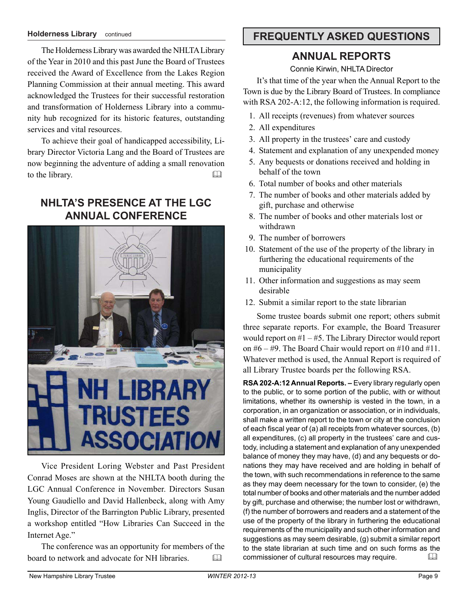#### **Holderness Library** continued

The Holderness Library was awarded the NHLTA Library of the Year in 2010 and this past June the Board of Trustees received the Award of Excellence from the Lakes Region Planning Commission at their annual meeting. This award acknowledged the Trustees for their successful restoration and transformation of Holderness Library into a community hub recognized for its historic features, outstanding services and vital resources.

To achieve their goal of handicapped accessibility, Library Director Victoria Lang and the Board of Trustees are now beginning the adventure of adding a small renovation to the library. 

# **NHLTA'S PRESENCE AT THE LGC ANNUAL CONFERENCE**



Vice President Loring Webster and Past President Conrad Moses are shown at the NHLTA booth during the LGC Annual Conference in November. Directors Susan Young Gaudiello and David Hallenbeck, along with Amy Inglis, Director of the Barrington Public Library, presented a workshop entitled "How Libraries Can Succeed in the Internet Age."

The conference was an opportunity for members of the board to network and advocate for NH libraries. 

# **FREQUENTLY ASKED QUESTIONS**

# **ANNUAL REPORTS**

Connie Kirwin, NHLTA Director

It's that time of the year when the Annual Report to the Town is due by the Library Board of Trustees. In compliance with RSA 202-A:12, the following information is required.

- 1. All receipts (revenues) from whatever sources
- 2. All expenditures
- 3. All property in the trustees' care and custody
- 4. Statement and explanation of any unexpended money
- 5. Any bequests or donations received and holding in behalf of the town
- 6. Total number of books and other materials
- 7. The number of books and other materials added by gift, purchase and otherwise
- 8. The number of books and other materials lost or withdrawn
- 9. The number of borrowers
- 10. Statement of the use of the property of the library in furthering the educational requirements of the municipality
- 11. Other information and suggestions as may seem desirable
- 12. Submit a similar report to the state librarian

Some trustee boards submit one report; others submit three separate reports. For example, the Board Treasurer would report on  $#1 - #5$ . The Library Director would report on  $#6 - #9$ . The Board Chair would report on  $#10$  and  $#11$ . Whatever method is used, the Annual Report is required of all Library Trustee boards per the following RSA.

**RSA 202-A:12 Annual Reports. –** Every library regularly open to the public, or to some portion of the public, with or without limitations, whether its ownership is vested in the town, in a corporation, in an organization or association, or in individuals, shall make a written report to the town or city at the conclusion of each fiscal year of (a) all receipts from whatever sources, (b) all expenditures, (c) all property in the trustees' care and custody, including a statement and explanation of any unexpended balance of money they may have, (d) and any bequests or donations they may have received and are holding in behalf of the town, with such recommendations in reference to the same as they may deem necessary for the town to consider, (e) the total number of books and other materials and the number added by gift, purchase and otherwise; the number lost or withdrawn, (f) the number of borrowers and readers and a statement of the use of the property of the library in furthering the educational requirements of the municipality and such other information and suggestions as may seem desirable, (g) submit a similar report to the state librarian at such time and on such forms as the commissioner of cultural resources may require.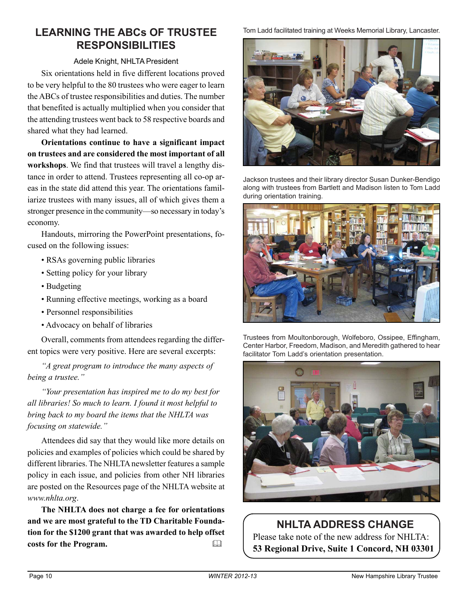# **LEARNING THE ABCs OF TRUSTEE RESPONSIBILITIES**

#### Adele Knight, NHLTA President

Six orientations held in five different locations proved to be very helpful to the 80 trustees who were eager to learn the ABCs of trustee responsibilities and duties. The number that benefited is actually multiplied when you consider that the attending trustees went back to 58 respective boards and shared what they had learned.

**Orientations continue to have a significant impact on trustees and are considered the most important of all workshops**. We find that trustees will travel a lengthy distance in order to attend. Trustees representing all co-op areas in the state did attend this year. The orientations familiarize trustees with many issues, all of which gives them a stronger presence in the community—so necessary in today's economy.

Handouts, mirroring the PowerPoint presentations, focused on the following issues:

- RSAs governing public libraries
- Setting policy for your library
- Budgeting
- Running effective meetings, working as a board
- Personnel responsibilities
- Advocacy on behalf of libraries

Overall, comments from attendees regarding the different topics were very positive. Here are several excerpts:

*"A great program to introduce the many aspects of being a trustee."*

*"Your presentation has inspired me to do my best for all libraries! So much to learn. I found it most helpful to bring back to my board the items that the NHLTA was focusing on statewide."*

Attendees did say that they would like more details on policies and examples of policies which could be shared by different libraries. The NHLTA newsletter features a sample policy in each issue, and policies from other NH libraries are posted on the Resources page of the NHLTA website at *www.nhlta.org*.

**The NHLTA does not charge a fee for orientations and we are most grateful to the TD Charitable Foundation for the \$1200 grant that was awarded to help offset costs for the Program.** 

Tom Ladd facilitated training at Weeks Memorial Library, Lancaster.



Jackson trustees and their library director Susan Dunker-Bendigo along with trustees from Bartlett and Madison listen to Tom Ladd during orientation training.



Trustees from Moultonborough, Wolfeboro, Ossipee, Effingham, Center Harbor, Freedom, Madison, and Meredith gathered to hear facilitator Tom Ladd's orientation presentation.



# **NHLTA ADDRESS CHANGE**

Please take note of the new address for NHLTA: **53 Regional Drive, Suite 1 Concord, NH 03301**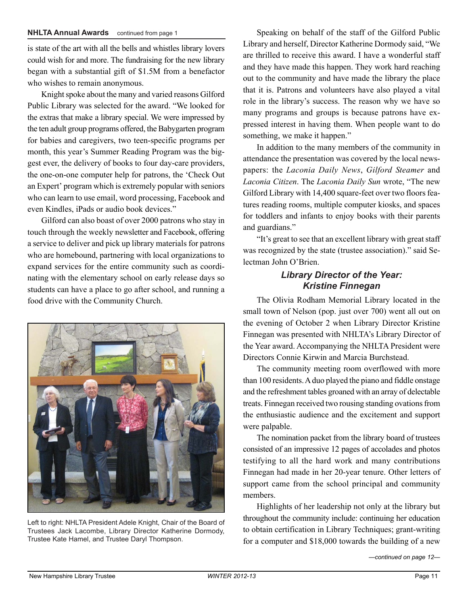is state of the art with all the bells and whistles library lovers could wish for and more. The fundraising for the new library began with a substantial gift of \$1.5M from a benefactor who wishes to remain anonymous.

Knight spoke about the many and varied reasons Gilford Public Library was selected for the award. "We looked for the extras that make a library special. We were impressed by the ten adult group programs offered, the Babygarten program for babies and caregivers, two teen-specific programs per month, this year's Summer Reading Program was the biggest ever, the delivery of books to four day-care providers, the one-on-one computer help for patrons, the 'Check Out an Expert' program which is extremely popular with seniors who can learn to use email, word processing, Facebook and even Kindles, iPads or audio book devices."

Gilford can also boast of over 2000 patrons who stay in touch through the weekly newsletter and Facebook, offering a service to deliver and pick up library materials for patrons who are homebound, partnering with local organizations to expand services for the entire community such as coordinating with the elementary school on early release days so students can have a place to go after school, and running a food drive with the Community Church.



Left to right: NHLTA President Adele Knight, Chair of the Board of Trustees Jack Lacombe, Library Director Katherine Dormody, Trustee Kate Hamel, and Trustee Daryl Thompson.

**NHLTA Annual Awards** continued from page 1 Speaking on behalf of the staff of the Gilford Public Library and herself, Director Katherine Dormody said, "We are thrilled to receive this award. I have a wonderful staff and they have made this happen. They work hard reaching out to the community and have made the library the place that it is. Patrons and volunteers have also played a vital role in the library's success. The reason why we have so many programs and groups is because patrons have expressed interest in having them. When people want to do something, we make it happen."

> In addition to the many members of the community in attendance the presentation was covered by the local newspapers: the *Laconia Daily News*, *Gilford Steamer* and *Laconia Citizen*. The *Laconia Daily Sun* wrote, "The new Gilford Library with 14,400 square-feet over two floors features reading rooms, multiple computer kiosks, and spaces for toddlers and infants to enjoy books with their parents and guardians."

> "It's great to see that an excellent library with great staff was recognized by the state (trustee association)." said Selectman John O'Brien.

### *Library Director of the Year: Kristine Finnegan*

The Olivia Rodham Memorial Library located in the small town of Nelson (pop. just over 700) went all out on the evening of October 2 when Library Director Kristine Finnegan was presented with NHLTA's Library Director of the Year award. Accompanying the NHLTA President were Directors Connie Kirwin and Marcia Burchstead.

The community meeting room overflowed with more than 100 residents. A duo played the piano and fiddle onstage and the refreshment tables groaned with an array of delectable treats. Finnegan received two rousing standing ovations from the enthusiastic audience and the excitement and support were palpable.

The nomination packet from the library board of trustees consisted of an impressive 12 pages of accolades and photos testifying to all the hard work and many contributions Finnegan had made in her 20-year tenure. Other letters of support came from the school principal and community members.

Highlights of her leadership not only at the library but throughout the community include: continuing her education to obtain certification in Library Techniques; grant-writing for a computer and \$18,000 towards the building of a new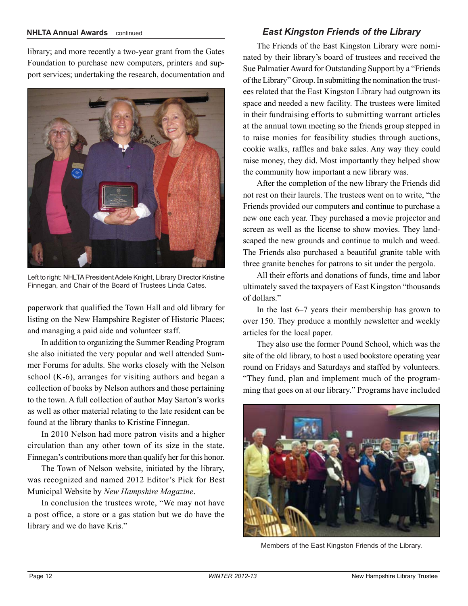#### **NHLTA Annual Awards** continued

library; and more recently a two-year grant from the Gates Foundation to purchase new computers, printers and support services; undertaking the research, documentation and



Left to right: NHLTA President Adele Knight, Library Director Kristine Finnegan, and Chair of the Board of Trustees Linda Cates.

paperwork that qualified the Town Hall and old library for listing on the New Hampshire Register of Historic Places; and managing a paid aide and volunteer staff.

In addition to organizing the Summer Reading Program she also initiated the very popular and well attended Summer Forums for adults. She works closely with the Nelson school (K-6), arranges for visiting authors and began a collection of books by Nelson authors and those pertaining to the town. A full collection of author May Sarton's works as well as other material relating to the late resident can be found at the library thanks to Kristine Finnegan.

In 2010 Nelson had more patron visits and a higher circulation than any other town of its size in the state. Finnegan's contributions more than qualify her for this honor.

The Town of Nelson website, initiated by the library, was recognized and named 2012 Editor's Pick for Best Municipal Website by *New Hampshire Magazine*.

In conclusion the trustees wrote, "We may not have a post office, a store or a gas station but we do have the library and we do have Kris."

#### *East Kingston Friends of the Library*

The Friends of the East Kingston Library were nominated by their library's board of trustees and received the Sue Palmatier Award for Outstanding Support by a "Friends of the Library" Group. In submitting the nomination the trustees related that the East Kingston Library had outgrown its space and needed a new facility. The trustees were limited in their fundraising efforts to submitting warrant articles at the annual town meeting so the friends group stepped in to raise monies for feasibility studies through auctions, cookie walks, raffles and bake sales. Any way they could raise money, they did. Most importantly they helped show the community how important a new library was.

After the completion of the new library the Friends did not rest on their laurels. The trustees went on to write, "the Friends provided our computers and continue to purchase a new one each year. They purchased a movie projector and screen as well as the license to show movies. They landscaped the new grounds and continue to mulch and weed. The Friends also purchased a beautiful granite table with three granite benches for patrons to sit under the pergola.

All their efforts and donations of funds, time and labor ultimately saved the taxpayers of East Kingston "thousands of dollars."

In the last 6–7 years their membership has grown to over 150. They produce a monthly newsletter and weekly articles for the local paper.

They also use the former Pound School, which was the site of the old library, to host a used bookstore operating year round on Fridays and Saturdays and staffed by volunteers. "They fund, plan and implement much of the programming that goes on at our library." Programs have included



Members of the East Kingston Friends of the Library.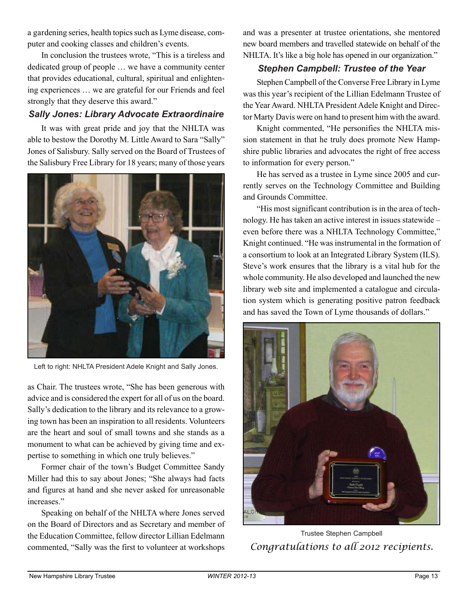a gardening series, health topics such as Lyme disease, computer and cooking classes and children's events.

In conclusion the trustees wrote, "This is a tireless and dedicated group of people … we have a community center that provides educational, cultural, spiritual and enlightening experiences … we are grateful for our Friends and feel strongly that they deserve this award."

#### *Sally Jones: Library Advocate Extraordinaire*

It was with great pride and joy that the NHLTA was able to bestow the Dorothy M. Little Award to Sara "Sally" Jones of Salisbury. Sally served on the Board of Trustees of the Salisbury Free Library for 18 years; many of those years



Left to right: NHLTA President Adele Knight and Sally Jones.

as Chair. The trustees wrote, "She has been generous with advice and is considered the expert for all of us on the board. Sally's dedication to the library and its relevance to a growing town has been an inspiration to all residents. Volunteers are the heart and soul of small towns and she stands as a monument to what can be achieved by giving time and expertise to something in which one truly believes."

Former chair of the town's Budget Committee Sandy Miller had this to say about Jones; "She always had facts and figures at hand and she never asked for unreasonable increases."

Speaking on behalf of the NHLTA where Jones served on the Board of Directors and as Secretary and member of the Education Committee, fellow director Lillian Edelmann commented, "Sally was the first to volunteer at workshops

and was a presenter at trustee orientations, she mentored new board members and travelled statewide on behalf of the NHLTA. It's like a big hole has opened in our organization."

#### *Stephen Campbell: Trustee of the Year*

Stephen Campbell of the Converse Free Library in Lyme was this year's recipient of the Lillian Edelmann Trustee of the Year Award. NHLTA President Adele Knight and Director Marty Davis were on hand to present him with the award.

Knight commented, "He personifies the NHLTA mission statement in that he truly does promote New Hampshire public libraries and advocates the right of free access to information for every person."

He has served as a trustee in Lyme since 2005 and currently serves on the Technology Committee and Building and Grounds Committee.

"His most significant contribution is in the area of technology. He has taken an active interest in issues statewide – even before there was a NHLTA Technology Committee," Knight continued. "He was instrumental in the formation of a consortium to look at an Integrated Library System (ILS). Steve's work ensures that the library is a vital hub for the whole community. He also developed and launched the new library web site and implemented a catalogue and circulation system which is generating positive patron feedback and has saved the Town of Lyme thousands of dollars."



*Congratulations to all 2012 recipients.* Trustee Stephen Campbell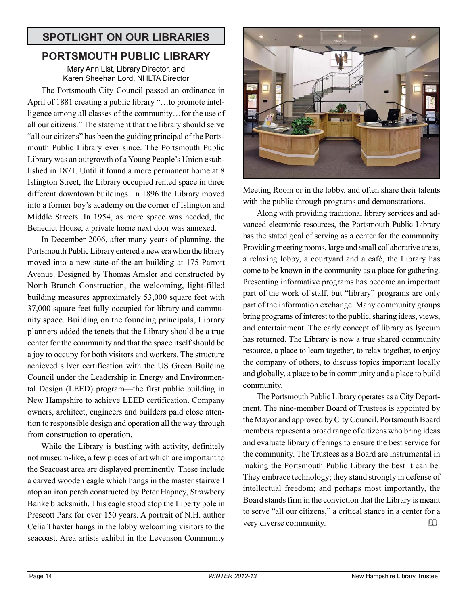# **SPOTLIGHT ON OUR LIBRARIES**

# **PORTSMOUTH PUBLIC LIBRARY**

Mary Ann List, Library Director, and Karen Sheehan Lord, NHLTA Director

The Portsmouth City Council passed an ordinance in April of 1881 creating a public library "…to promote intelligence among all classes of the community…for the use of all our citizens." The statement that the library should serve "all our citizens" has been the guiding principal of the Portsmouth Public Library ever since. The Portsmouth Public Library was an outgrowth of a Young People's Union established in 1871. Until it found a more permanent home at 8 Islington Street, the Library occupied rented space in three different downtown buildings. In 1896 the Library moved into a former boy's academy on the corner of Islington and Middle Streets. In 1954, as more space was needed, the Benedict House, a private home next door was annexed.

In December 2006, after many years of planning, the Portsmouth Public Library entered a new era when the library moved into a new state-of-the-art building at 175 Parrott Avenue. Designed by Thomas Amsler and constructed by North Branch Construction, the welcoming, light-filled building measures approximately 53,000 square feet with 37,000 square feet fully occupied for library and community space. Building on the founding principals, Library planners added the tenets that the Library should be a true center for the community and that the space itself should be a joy to occupy for both visitors and workers. The structure achieved silver certification with the US Green Building Council under the Leadership in Energy and Environmental Design (LEED) program—the first public building in New Hampshire to achieve LEED certification. Company owners, architect, engineers and builders paid close attention to responsible design and operation all the way through from construction to operation.

While the Library is bustling with activity, definitely not museum-like, a few pieces of art which are important to the Seacoast area are displayed prominently. These include a carved wooden eagle which hangs in the master stairwell atop an iron perch constructed by Peter Hapney, Strawbery Banke blacksmith. This eagle stood atop the Liberty pole in Prescott Park for over 150 years. A portrait of N.H. author Celia Thaxter hangs in the lobby welcoming visitors to the seacoast. Area artists exhibit in the Levenson Community



Meeting Room or in the lobby, and often share their talents with the public through programs and demonstrations.

Along with providing traditional library services and advanced electronic resources, the Portsmouth Public Library has the stated goal of serving as a center for the community. Providing meeting rooms, large and small collaborative areas, a relaxing lobby, a courtyard and a café, the Library has come to be known in the community as a place for gathering. Presenting informative programs has become an important part of the work of staff, but "library" programs are only part of the information exchange. Many community groups bring programs of interest to the public, sharing ideas, views, and entertainment. The early concept of library as lyceum has returned. The Library is now a true shared community resource, a place to learn together, to relax together, to enjoy the company of others, to discuss topics important locally and globally, a place to be in community and a place to build community.

The Portsmouth Public Library operates as a City Department. The nine-member Board of Trustees is appointed by the Mayor and approved by City Council. Portsmouth Board members represent a broad range of citizens who bring ideas and evaluate library offerings to ensure the best service for the community. The Trustees as a Board are instrumental in making the Portsmouth Public Library the best it can be. They embrace technology; they stand strongly in defense of intellectual freedom; and perhaps most importantly, the Board stands firm in the conviction that the Library is meant to serve "all our citizens," a critical stance in a center for a very diverse community.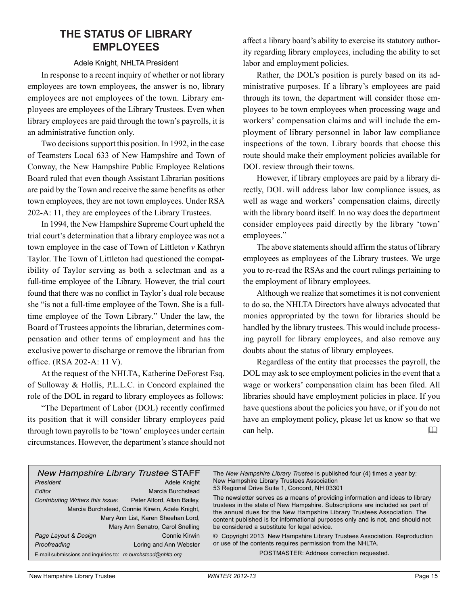# **THE STATUS OF LIBRARY EMPLOYEES**

#### Adele Knight, NHLTA President

In response to a recent inquiry of whether or not library employees are town employees, the answer is no, library employees are not employees of the town. Library employees are employees of the Library Trustees. Even when library employees are paid through the town's payrolls, it is an administrative function only.

Two decisions support this position. In 1992, in the case of Teamsters Local 633 of New Hampshire and Town of Conway, the New Hampshire Public Employee Relations Board ruled that even though Assistant Librarian positions are paid by the Town and receive the same benefits as other town employees, they are not town employees. Under RSA 202-A: 11, they are employees of the Library Trustees.

In 1994, the New Hampshire Supreme Court upheld the trial court's determination that a library employee was not a town employee in the case of Town of Littleton *v* Kathryn Taylor. The Town of Littleton had questioned the compatibility of Taylor serving as both a selectman and as a full-time employee of the Library. However, the trial court found that there was no conflict in Taylor's dual role because she "is not a full-time employee of the Town. She is a fulltime employee of the Town Library." Under the law, the Board of Trustees appoints the librarian, determines compensation and other terms of employment and has the exclusive power to discharge or remove the librarian from office. (RSA 202-A: 11 V).

At the request of the NHLTA, Katherine DeForest Esq. of Sulloway & Hollis, P.L.L.C. in Concord explained the role of the DOL in regard to library employees as follows:

"The Department of Labor (DOL) recently confirmed its position that it will consider library employees paid through town payrolls to be 'town' employees under certain circumstances. However, the department's stance should not

affect a library board's ability to exercise its statutory authority regarding library employees, including the ability to set labor and employment policies.

Rather, the DOL's position is purely based on its administrative purposes. If a library's employees are paid through its town, the department will consider those employees to be town employees when processing wage and workers' compensation claims and will include the employment of library personnel in labor law compliance inspections of the town. Library boards that choose this route should make their employment policies available for DOL review through their towns.

However, if library employees are paid by a library directly, DOL will address labor law compliance issues, as well as wage and workers' compensation claims, directly with the library board itself. In no way does the department consider employees paid directly by the library 'town' employees."

The above statements should affirm the status of library employees as employees of the Library trustees. We urge you to re-read the RSAs and the court rulings pertaining to the employment of library employees.

Although we realize that sometimes it is not convenient to do so, the NHLTA Directors have always advocated that monies appropriated by the town for libraries should be handled by the library trustees. This would include processing payroll for library employees, and also remove any doubts about the status of library employees.

Regardless of the entity that processes the payroll, the DOL may ask to see employment policies in the event that a wage or workers' compensation claim has been filed. All libraries should have employment policies in place. If you have questions about the policies you have, or if you do not have an employment policy, please let us know so that we can help. 

| <b>New Hampshire Library Trustee STAFF</b><br>President<br>Editor<br>Contributing Writers this issue: | Adele Knight<br>Marcia Burchstead<br>Peter Alford, Allan Bailey,<br>Marcia Burchstead, Connie Kirwin, Adele Knight,<br>Mary Ann List, Karen Sheehan Lord,<br>Mary Ann Senatro, Carol Snelling | The New Hampshire Library Trustee is published four (4) times a year by:<br>New Hampshire Library Trustees Association<br>53 Regional Drive Suite 1, Concord, NH 03301<br>The newsletter serves as a means of providing information and ideas to library<br>trustees in the state of New Hampshire. Subscriptions are included as part of<br>the annual dues for the New Hampshire Library Trustees Association. The<br>content published is for informational purposes only and is not, and should not<br>be considered a substitute for legal advice. |
|-------------------------------------------------------------------------------------------------------|-----------------------------------------------------------------------------------------------------------------------------------------------------------------------------------------------|---------------------------------------------------------------------------------------------------------------------------------------------------------------------------------------------------------------------------------------------------------------------------------------------------------------------------------------------------------------------------------------------------------------------------------------------------------------------------------------------------------------------------------------------------------|
| Page Layout & Design<br>Proofreading                                                                  | Connie Kirwin<br>Loring and Ann Webster                                                                                                                                                       | © Copyright 2013 New Hampshire Library Trustees Association. Reproduction<br>or use of the contents requires permission from the NHLTA.                                                                                                                                                                                                                                                                                                                                                                                                                 |
| E-mail submissions and inquiries to: m.burchstead@nhlta.org                                           |                                                                                                                                                                                               | POSTMASTER: Address correction requested.                                                                                                                                                                                                                                                                                                                                                                                                                                                                                                               |